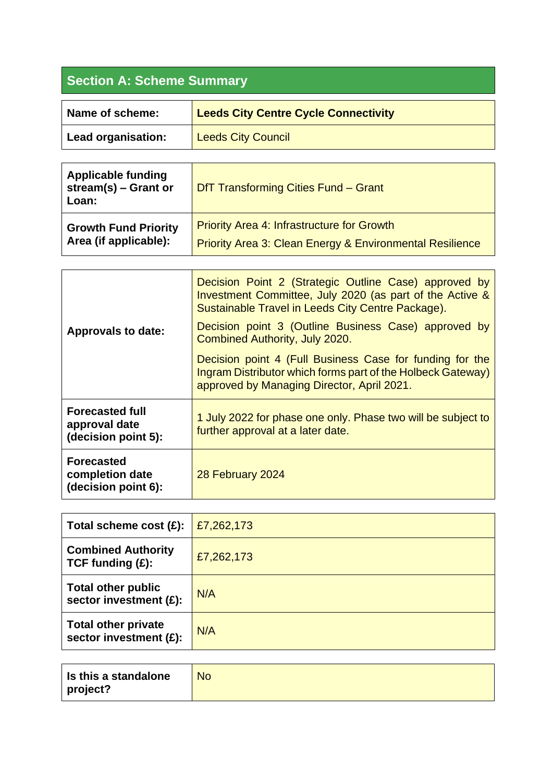## **Section A: Scheme Summary**

| Name of scheme:    | <b>Leeds City Centre Cycle Connectivity</b> |
|--------------------|---------------------------------------------|
| Lead organisation: | <b>Leeds City Council</b>                   |

| <b>Applicable funding</b><br>stream(s) $-$ Grant or<br>Loan: | DfT Transforming Cities Fund - Grant                                |
|--------------------------------------------------------------|---------------------------------------------------------------------|
| <b>Growth Fund Priority</b>                                  | <b>Priority Area 4: Infrastructure for Growth</b>                   |
| Area (if applicable):                                        | <b>Priority Area 3: Clean Energy &amp; Environmental Resilience</b> |

| <b>Approvals to date:</b>                                      | Decision Point 2 (Strategic Outline Case) approved by<br>Investment Committee, July 2020 (as part of the Active &<br>Sustainable Travel in Leeds City Centre Package).<br>Decision point 3 (Outline Business Case) approved by<br>Combined Authority, July 2020.<br>Decision point 4 (Full Business Case for funding for the<br>Ingram Distributor which forms part of the Holbeck Gateway)<br>approved by Managing Director, April 2021. |
|----------------------------------------------------------------|-------------------------------------------------------------------------------------------------------------------------------------------------------------------------------------------------------------------------------------------------------------------------------------------------------------------------------------------------------------------------------------------------------------------------------------------|
| <b>Forecasted full</b><br>approval date<br>(decision point 5): | 1 July 2022 for phase one only. Phase two will be subject to<br>further approval at a later date.                                                                                                                                                                                                                                                                                                                                         |
| <b>Forecasted</b><br>completion date<br>(decision point 6):    | 28 February 2024                                                                                                                                                                                                                                                                                                                                                                                                                          |

| Total scheme cost $(E)$ :                            | £7,262,173 |
|------------------------------------------------------|------------|
| <b>Combined Authority</b><br>TCF funding $(E)$ :     | £7,262,173 |
| <b>Total other public</b><br>sector investment (£):  | N/A        |
| <b>Total other private</b><br>sector investment (£): | N/A        |

| Is this a standalone | <b>No</b> |
|----------------------|-----------|
| project?             |           |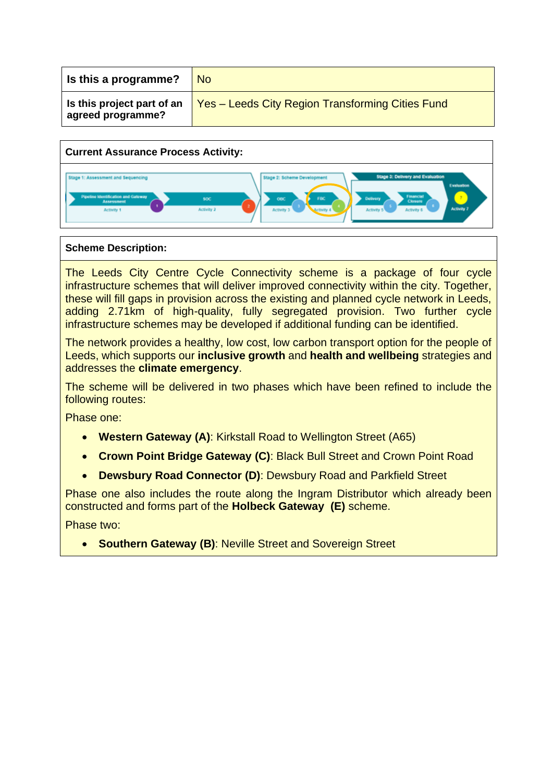| Is this a programme?                            | <b>No</b>                                               |
|-------------------------------------------------|---------------------------------------------------------|
| Is this project part of an<br>agreed programme? | <b>Yes – Leeds City Region Transforming Cities Fund</b> |



## **Scheme Description:**

The Leeds City Centre Cycle Connectivity scheme is a package of four cycle infrastructure schemes that will deliver improved connectivity within the city. Together, these will fill gaps in provision across the existing and planned cycle network in Leeds, adding 2.71km of high-quality, fully segregated provision. Two further cycle infrastructure schemes may be developed if additional funding can be identified.

The network provides a healthy, low cost, low carbon transport option for the people of Leeds, which supports our **inclusive growth** and **health and wellbeing** strategies and addresses the **climate emergency**.

The scheme will be delivered in two phases which have been refined to include the following routes:

Phase one:

- **Western Gateway (A)**: Kirkstall Road to Wellington Street (A65)
- **Crown Point Bridge Gateway (C)**: Black Bull Street and Crown Point Road
- **Dewsbury Road Connector (D)**: Dewsbury Road and Parkfield Street

Phase one also includes the route along the Ingram Distributor which already been constructed and forms part of the **Holbeck Gateway (E)** scheme.

Phase two:

• **Southern Gateway (B)**: Neville Street and Sovereign Street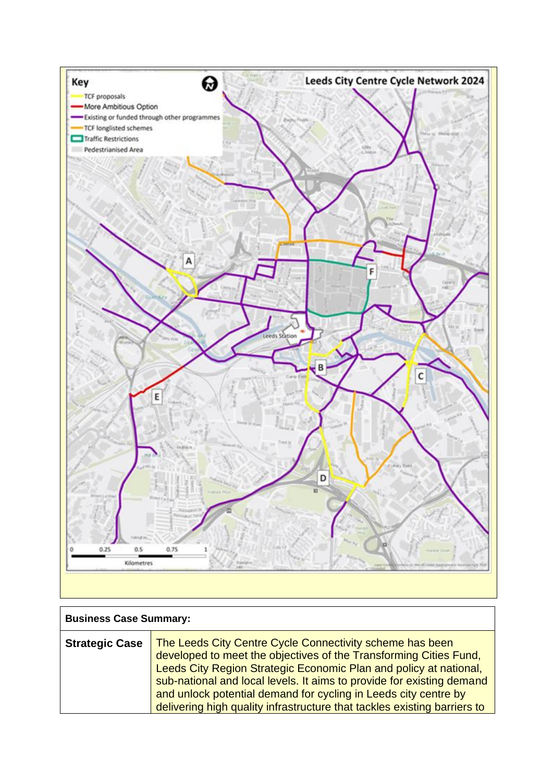

| <b>Business Case Summary:</b> |                                                                                                                                                                                                                                                                                                                                                                                                                            |
|-------------------------------|----------------------------------------------------------------------------------------------------------------------------------------------------------------------------------------------------------------------------------------------------------------------------------------------------------------------------------------------------------------------------------------------------------------------------|
| <b>Strategic Case</b>         | The Leeds City Centre Cycle Connectivity scheme has been<br>developed to meet the objectives of the Transforming Cities Fund,<br>Leeds City Region Strategic Economic Plan and policy at national,<br>sub-national and local levels. It aims to provide for existing demand<br>and unlock potential demand for cycling in Leeds city centre by<br>delivering high quality infrastructure that tackles existing barriers to |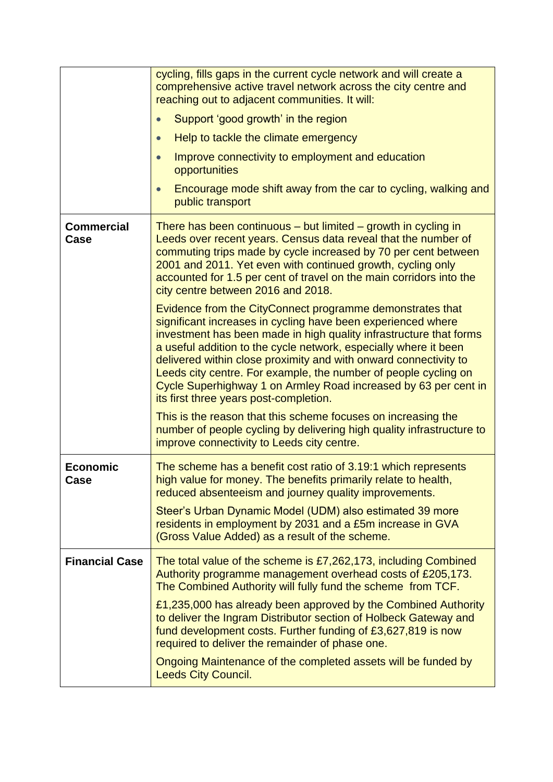|                           | cycling, fills gaps in the current cycle network and will create a<br>comprehensive active travel network across the city centre and<br>reaching out to adjacent communities. It will:                                                                                                                                                                                                                                                                                                                                  |
|---------------------------|-------------------------------------------------------------------------------------------------------------------------------------------------------------------------------------------------------------------------------------------------------------------------------------------------------------------------------------------------------------------------------------------------------------------------------------------------------------------------------------------------------------------------|
|                           | Support 'good growth' in the region                                                                                                                                                                                                                                                                                                                                                                                                                                                                                     |
|                           | Help to tackle the climate emergency                                                                                                                                                                                                                                                                                                                                                                                                                                                                                    |
|                           | Improve connectivity to employment and education<br>opportunities                                                                                                                                                                                                                                                                                                                                                                                                                                                       |
|                           | Encourage mode shift away from the car to cycling, walking and<br>public transport                                                                                                                                                                                                                                                                                                                                                                                                                                      |
| <b>Commercial</b><br>Case | There has been continuous $-$ but limited $-$ growth in cycling in<br>Leeds over recent years. Census data reveal that the number of<br>commuting trips made by cycle increased by 70 per cent between<br>2001 and 2011. Yet even with continued growth, cycling only<br>accounted for 1.5 per cent of travel on the main corridors into the<br>city centre between 2016 and 2018.                                                                                                                                      |
|                           | Evidence from the CityConnect programme demonstrates that<br>significant increases in cycling have been experienced where<br>investment has been made in high quality infrastructure that forms<br>a useful addition to the cycle network, especially where it been<br>delivered within close proximity and with onward connectivity to<br>Leeds city centre. For example, the number of people cycling on<br>Cycle Superhighway 1 on Armley Road increased by 63 per cent in<br>its first three years post-completion. |
|                           | This is the reason that this scheme focuses on increasing the<br>number of people cycling by delivering high quality infrastructure to<br>improve connectivity to Leeds city centre.                                                                                                                                                                                                                                                                                                                                    |
| <b>Economic</b><br>Case   | The scheme has a benefit cost ratio of 3.19:1 which represents<br>high value for money. The benefits primarily relate to health,<br>reduced absenteeism and journey quality improvements.                                                                                                                                                                                                                                                                                                                               |
|                           | Steer's Urban Dynamic Model (UDM) also estimated 39 more<br>residents in employment by 2031 and a £5m increase in GVA<br>(Gross Value Added) as a result of the scheme.                                                                                                                                                                                                                                                                                                                                                 |
| <b>Financial Case</b>     | The total value of the scheme is £7,262,173, including Combined<br>Authority programme management overhead costs of £205,173.<br>The Combined Authority will fully fund the scheme from TCF.                                                                                                                                                                                                                                                                                                                            |
|                           | £1,235,000 has already been approved by the Combined Authority<br>to deliver the Ingram Distributor section of Holbeck Gateway and<br>fund development costs. Further funding of £3,627,819 is now<br>required to deliver the remainder of phase one.                                                                                                                                                                                                                                                                   |
|                           | Ongoing Maintenance of the completed assets will be funded by<br><b>Leeds City Council.</b>                                                                                                                                                                                                                                                                                                                                                                                                                             |